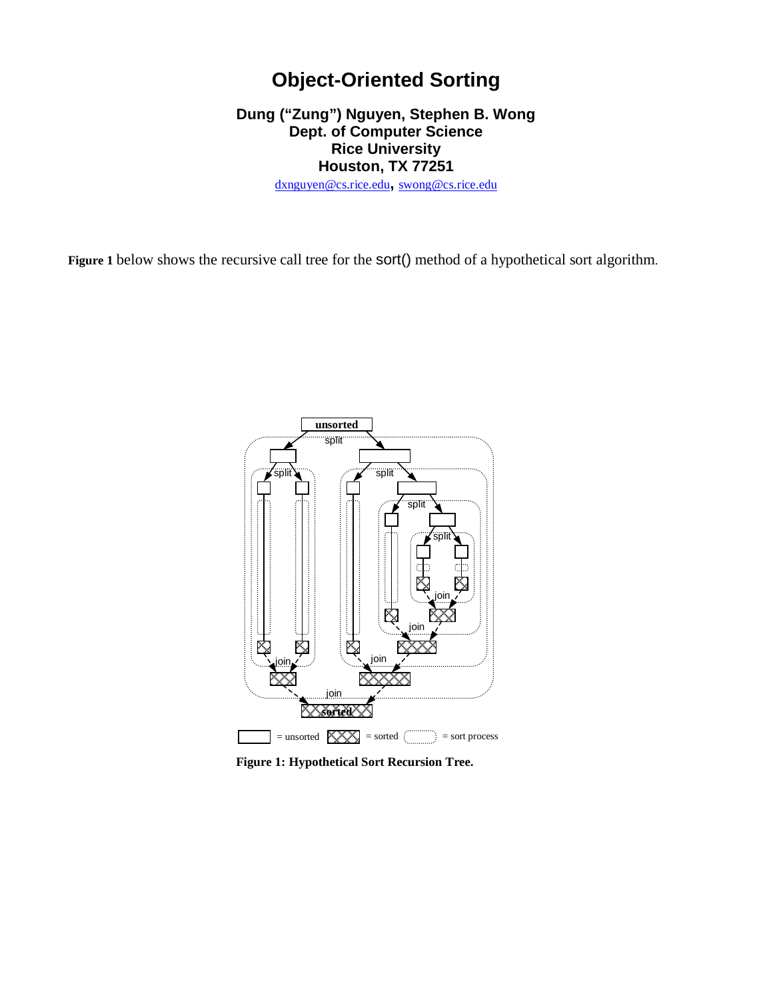## **Object-Oriented Sorting**

## **Dung ("Zung") Nguyen, Stephen B. Wong Dept. of Computer Science Rice University Houston, TX 77251**

dxnguyen@cs.rice.edu**,** swong@cs.rice.edu

**Figure 1** below shows the recursive call tree for the sort() method of a hypothetical sort algorithm.



**Figure 1: Hypothetical Sort Recursion Tree.**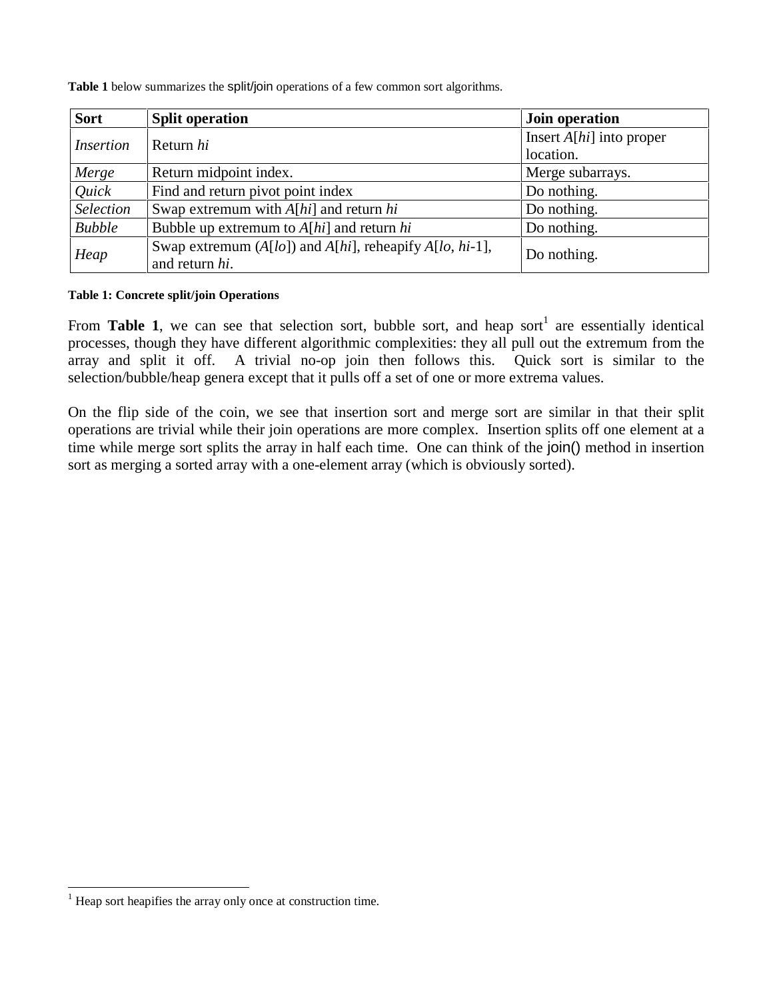**Table 1** below summarizes the split/join operations of a few common sort algorithms.

| <b>Sort</b>      | <b>Split operation</b>                                                    | Join operation                          |  |
|------------------|---------------------------------------------------------------------------|-----------------------------------------|--|
| <i>Insertion</i> | Return hi                                                                 | Insert $A[hi]$ into proper<br>location. |  |
| Merge            | Return midpoint index.                                                    | Merge subarrays.                        |  |
| Quick            | Find and return pivot point index                                         | Do nothing.                             |  |
| <b>Selection</b> | Swap extremum with $A[hi]$ and return hi                                  | Do nothing.                             |  |
| <b>Bubble</b>    | Bubble up extremum to $A[hi]$ and return hi                               | Do nothing.                             |  |
| Heap             | Swap extremum (A[lo]) and A[hi], reheapify A[lo, hi-1],<br>and return hi. | Do nothing.                             |  |

## **Table 1: Concrete split/join Operations**

From Table 1, we can see that selection sort, bubble sort, and heap sort<sup>1</sup> are essentially identical processes, though they have different algorithmic complexities: they all pull out the extremum from the array and split it off. A trivial no-op join then follows this. Quick sort is similar to the selection/bubble/heap genera except that it pulls off a set of one or more extrema values.

On the flip side of the coin, we see that insertion sort and merge sort are similar in that their split operations are trivial while their join operations are more complex. Insertion splits off one element at a time while merge sort splits the array in half each time. One can think of the join() method in insertion sort as merging a sorted array with a one-element array (which is obviously sorted).

j

Heap sort heapifies the array only once at construction time.